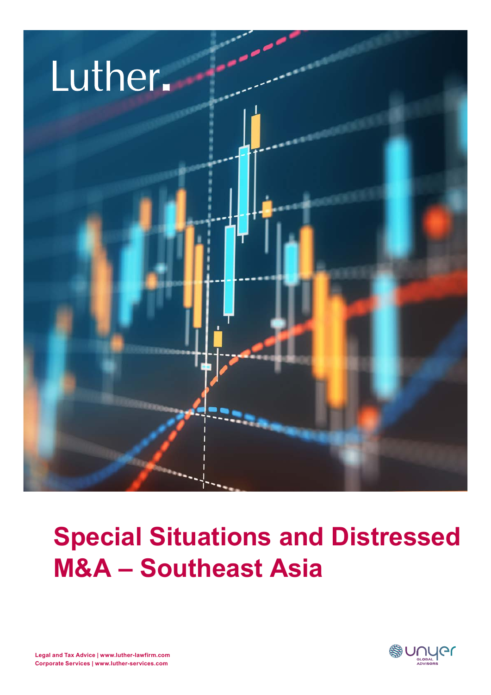

## **Special Situations and Distressed M&A – Southeast Asia**

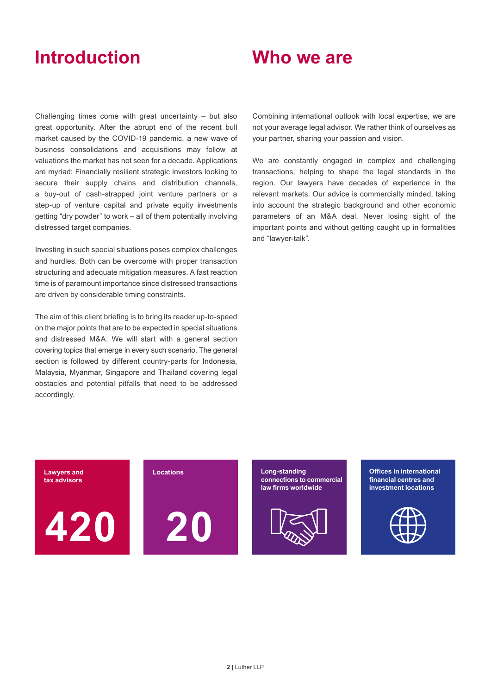## **Introduction**

### **Who we are**

Challenging times come with great uncertainty – but also great opportunity. After the abrupt end of the recent bull market caused by the COVID-19 pandemic, a new wave of business consolidations and acquisitions may follow at valuations the market has not seen for a decade. Applications are myriad: Financially resilient strategic investors looking to secure their supply chains and distribution channels, a buy-out of cash-strapped joint venture partners or a a buy-out of cash-strapped joint venture partners or a<br>step-up of venture capital and private equity investments getting "dry powder" to work – all of them potentially involving distressed target companies.

Investing in such special situations poses complex challenges and hurdles. Both can be overcome with proper transaction **and the leading community** structuring and adequate mitigation measures. A fast reaction time is of paramount importance since distressed transactions about Germany, we are also present in ten location are driven by considerable timing constraints.

The aim of this client briefing is to bring its reader up-to-speed on the major points that are to be expected in special situations and distressed M&A. We will start with a general section covering topics that emerge in every such scenario. The general section is followed by different country-parts for Indonesia, Malaysia, Myanmar, Singapore and Thailand covering legal **interest and the executive and the executal** increase o obstacles and potential pitfalls that need to be addressed accordingly.  $\alpha$  and highly specialized and higher cooperation closely in order to offer our clients the best possible ser- $\sigma$  our fast and efficient communication, permanent availability and flexibility, we are there for you whenever  $\sigma$ 

Combining international outlook with local expertise, we are not your average legal advisor. We rather think of ourselves as your partner, sharing your passion and vision.

We are constantly engaged in complex and challenging transactions, helping to shape the legal standards in the region. Our lawyers have decades of experience in the relevant markets. Our advice is commercially minded, taking into account the strategic background and other economic parameters of an M&A deal. Never losing sight of the important points and without getting caught up in formalities and "lawyer-talk".

**Lawyers and tax advisors**

**420 20**

**Locations Long-standing connections to commercial law firms worldwide**



**Offices in international financial centres and investment locations**

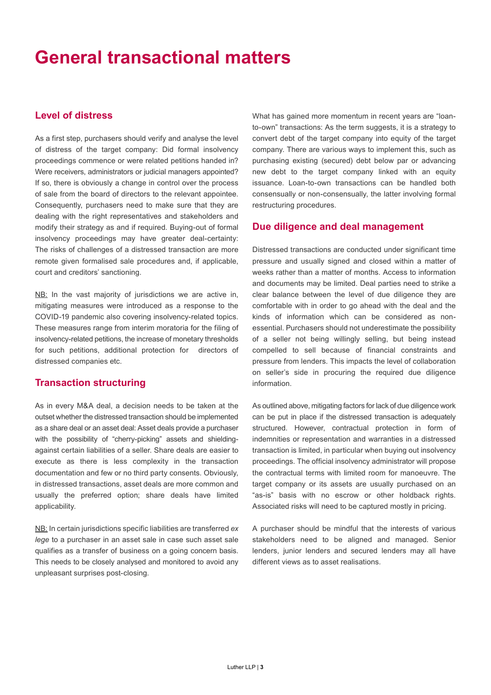## **General transactional matters**

#### **Level of distress**

As a first step, purchasers should verify and analyse the level of distress of the target company: Did formal insolvency proceedings commence or were related petitions handed in? Were receivers, administrators or judicial managers appointed? If so, there is obviously a change in control over the process of sale from the board of directors to the relevant appointee. Consequently, purchasers need to make sure that they are dealing with the right representatives and stakeholders and modify their strategy as and if required. Buying-out of formal insolvency proceedings may have greater deal-certainty: The risks of challenges of a distressed transaction are more remote given formalised sale procedures and, if applicable, court and creditors' sanctioning.

NB: In the vast majority of jurisdictions we are active in, mitigating measures were introduced as a response to the COVID-19 pandemic also covering insolvency-related topics. These measures range from interim moratoria for the filing of insolvency-related petitions, the increase of monetary thresholds for such petitions, additional protection for directors of distressed companies etc.

#### **Transaction structuring**

As in every M&A deal, a decision needs to be taken at the outset whether the distressed transaction should be implemented as a share deal or an asset deal: Asset deals provide a purchaser with the possibility of "cherry-picking" assets and shieldingagainst certain liabilities of a seller. Share deals are easier to execute as there is less complexity in the transaction documentation and few or no third party consents. Obviously, in distressed transactions, asset deals are more common and usually the preferred option; share deals have limited applicability.

NB: In certain jurisdictions specific liabilities are transferred *ex lege* to a purchaser in an asset sale in case such asset sale qualifies as a transfer of business on a going concern basis. This needs to be closely analysed and monitored to avoid any unpleasant surprises post-closing.

What has gained more momentum in recent years are "loanto-own" transactions: As the term suggests, it is a strategy to convert debt of the target company into equity of the target company. There are various ways to implement this, such as purchasing existing (secured) debt below par or advancing new debt to the target company linked with an equity issuance. Loan-to-own transactions can be handled both consensually or non-consensually, the latter involving formal restructuring procedures.

#### **Due diligence and deal management**

Distressed transactions are conducted under significant time pressure and usually signed and closed within a matter of weeks rather than a matter of months. Access to information and documents may be limited. Deal parties need to strike a clear balance between the level of due diligence they are comfortable with in order to go ahead with the deal and the kinds of information which can be considered as nonessential. Purchasers should not underestimate the possibility of a seller not being willingly selling, but being instead compelled to sell because of financial constraints and pressure from lenders. This impacts the level of collaboration on seller's side in procuring the required due diligence information.

As outlined above, mitigating factors for lack of due diligence work can be put in place if the distressed transaction is adequately structured. However, contractual protection in form of indemnities or representation and warranties in a distressed transaction is limited, in particular when buying out insolvency proceedings. The official insolvency administrator will propose the contractual terms with limited room for manoeuvre. The target company or its assets are usually purchased on an "as-is" basis with no escrow or other holdback rights. Associated risks will need to be captured mostly in pricing.

A purchaser should be mindful that the interests of various stakeholders need to be aligned and managed. Senior lenders, junior lenders and secured lenders may all have different views as to asset realisations.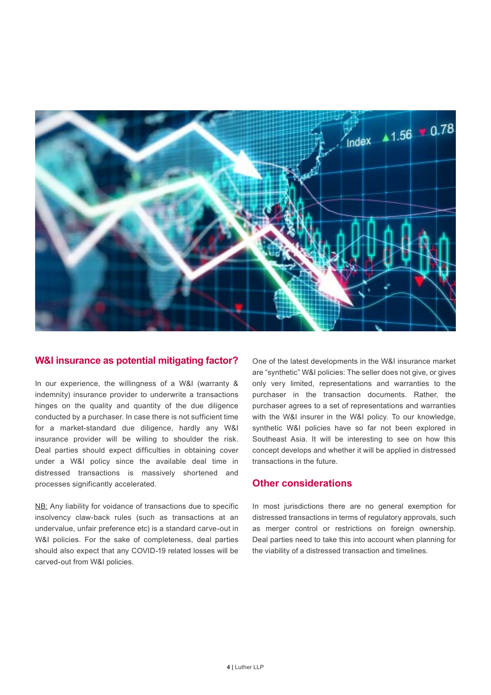

#### **W&I insurance as potential mitigating factor?**

In our experience, the willingness of a W&I (warranty & indemnity) insurance provider to underwrite a transactions hinges on the quality and quantity of the due diligence conducted by a purchaser. In case there is not sufficient time for a market-standard due diligence, hardly any W&I insurance provider will be willing to shoulder the risk. Deal parties should expect difficulties in obtaining cover under a W&I policy since the available deal time in distressed transactions is massively shortened and processes significantly accelerated.

NB: Any liability for voidance of transactions due to specific insolvency claw-back rules (such as transactions at an undervalue, unfair preference etc) is a standard carve-out in W&I policies. For the sake of completeness, deal parties should also expect that any COVID-19 related losses will be carved-out from W&I policies.

One of the latest developments in the W&I insurance market are "synthetic" W&I policies: The seller does not give, or gives only very limited, representations and warranties to the purchaser in the transaction documents. Rather, the purchaser agrees to a set of representations and warranties with the W&I insurer in the W&I policy. To our knowledge, synthetic W&I policies have so far not been explored in Southeast Asia. It will be interesting to see on how this concept develops and whether it will be applied in distressed transactions in the future.

#### **Other considerations**

In most jurisdictions there are no general exemption for distressed transactions in terms of regulatory approvals, such as merger control or restrictions on foreign ownership. Deal parties need to take this into account when planning for the viability of a distressed transaction and timelines.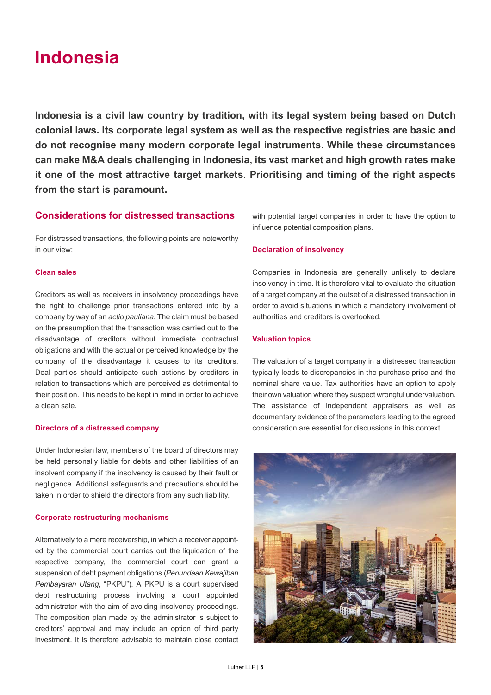## **Indonesia**

**Indonesia is a civil law country by tradition, with its legal system being based on Dutch colonial laws. Its corporate legal system as well as the respective registries are basic and do not recognise many modern corporate legal instruments. While these circumstances can make M&A deals challenging in Indonesia, its vast market and high growth rates make it one of the most attractive target markets. Prioritising and timing of the right aspects from the start is paramount.** 

#### **Considerations for distressed transactions**

For distressed transactions, the following points are noteworthy in our view:

#### **Clean sales**

Creditors as well as receivers in insolvency proceedings have the right to challenge prior transactions entered into by a company by way of an *actio pauliana*. The claim must be based on the presumption that the transaction was carried out to the disadvantage of creditors without immediate contractual obligations and with the actual or perceived knowledge by the company of the disadvantage it causes to its creditors. Deal parties should anticipate such actions by creditors in relation to transactions which are perceived as detrimental to their position. This needs to be kept in mind in order to achieve a clean sale.

#### **Directors of a distressed company**

Under Indonesian law, members of the board of directors may be held personally liable for debts and other liabilities of an insolvent company if the insolvency is caused by their fault or negligence. Additional safeguards and precautions should be taken in order to shield the directors from any such liability.

#### **Corporate restructuring mechanisms**

Alternatively to a mere receivership, in which a receiver appointed by the commercial court carries out the liquidation of the respective company, the commercial court can grant a suspension of debt payment obligations (*Penundaan Kewajiban Pembayaran Utang*, "PKPU"). A PKPU is a court supervised debt restructuring process involving a court appointed administrator with the aim of avoiding insolvency proceedings. The composition plan made by the administrator is subject to creditors' approval and may include an option of third party investment. It is therefore advisable to maintain close contact with potential target companies in order to have the option to influence potential composition plans.

#### **Declaration of insolvency**

Companies in Indonesia are generally unlikely to declare insolvency in time. It is therefore vital to evaluate the situation of a target company at the outset of a distressed transaction in order to avoid situations in which a mandatory involvement of authorities and creditors is overlooked.

#### **Valuation topics**

The valuation of a target company in a distressed transaction typically leads to discrepancies in the purchase price and the nominal share value. Tax authorities have an option to apply their own valuation where they suspect wrongful undervaluation. The assistance of independent appraisers as well as documentary evidence of the parameters leading to the agreed consideration are essential for discussions in this context.

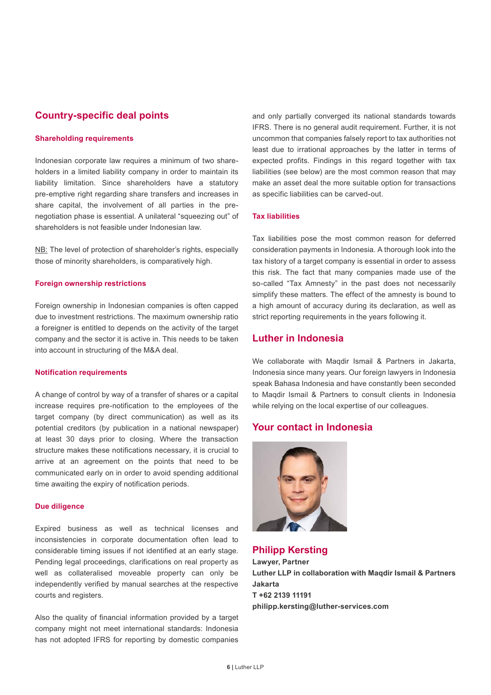#### **Country-specific deal points**

#### **Shareholding requirements**

Indonesian corporate law requires a minimum of two shareholders in a limited liability company in order to maintain its liability limitation. Since shareholders have a statutory pre-emptive right regarding share transfers and increases in share capital, the involvement of all parties in the prenegotiation phase is essential. A unilateral "squeezing out" of shareholders is not feasible under Indonesian law.

NB: The level of protection of shareholder's rights, especially those of minority shareholders, is comparatively high.

#### **Foreign ownership restrictions**

Foreign ownership in Indonesian companies is often capped due to investment restrictions. The maximum ownership ratio a foreigner is entitled to depends on the activity of the target company and the sector it is active in. This needs to be taken into account in structuring of the M&A deal.

#### **Notification requirements**

A change of control by way of a transfer of shares or a capital increase requires pre-notification to the employees of the target company (by direct communication) as well as its potential creditors (by publication in a national newspaper) at least 30 days prior to closing. Where the transaction structure makes these notifications necessary, it is crucial to arrive at an agreement on the points that need to be communicated early on in order to avoid spending additional time awaiting the expiry of notification periods.

#### **Due diligence**

Expired business as well as technical licenses and inconsistencies in corporate documentation often lead to considerable timing issues if not identified at an early stage. Pending legal proceedings, clarifications on real property as well as collateralised moveable property can only be independently verified by manual searches at the respective courts and registers.

Also the quality of financial information provided by a target company might not meet international standards: Indonesia has not adopted IFRS for reporting by domestic companies

and only partially converged its national standards towards IFRS. There is no general audit requirement. Further, it is not uncommon that companies falsely report to tax authorities not least due to irrational approaches by the latter in terms of expected profits. Findings in this regard together with tax liabilities (see below) are the most common reason that may make an asset deal the more suitable option for transactions as specific liabilities can be carved-out.

#### **Tax liabilities**

Tax liabilities pose the most common reason for deferred consideration payments in Indonesia. A thorough look into the tax history of a target company is essential in order to assess this risk. The fact that many companies made use of the so-called "Tax Amnesty" in the past does not necessarily simplify these matters. The effect of the amnesty is bound to a high amount of accuracy during its declaration, as well as strict reporting requirements in the years following it.

#### **Luther in Indonesia**

We collaborate with Maqdir Ismail & Partners in Jakarta, Indonesia since many years. Our foreign lawyers in Indonesia speak Bahasa Indonesia and have constantly been seconded to Maqdir Ismail & Partners to consult clients in Indonesia while relying on the local expertise of our colleagues.

#### **Your contact in Indonesia**



**Philipp Kersting Lawyer, Partner Luther LLP in collaboration with Maqdir Ismail & Partners Jakarta T +62 2139 11191 philipp.kersting@luther-services.com**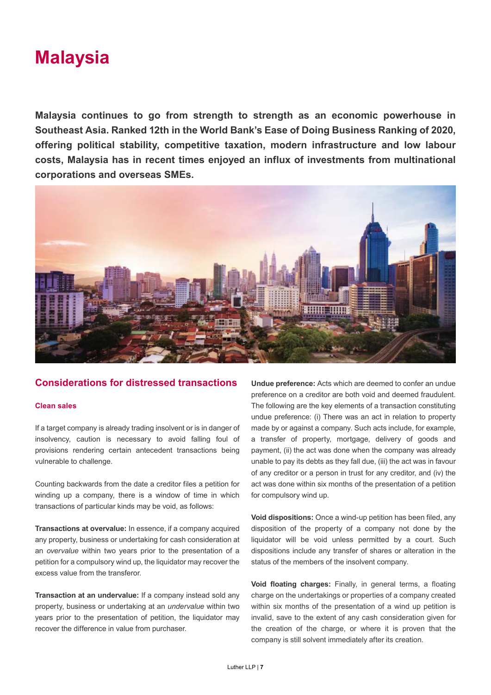

**Malaysia continues to go from strength to strength as an economic powerhouse in Southeast Asia. Ranked 12th in the World Bank's Ease of Doing Business Ranking of 2020, offering political stability, competitive taxation, modern infrastructure and low labour costs, Malaysia has in recent times enjoyed an influx of investments from multinational corporations and overseas SMEs.**



#### **Considerations for distressed transactions**

#### **Clean sales**

If a target company is already trading insolvent or is in danger of insolvency, caution is necessary to avoid falling foul of provisions rendering certain antecedent transactions being vulnerable to challenge.

Counting backwards from the date a creditor files a petition for winding up a company, there is a window of time in which transactions of particular kinds may be void, as follows:

**Transactions at overvalue:** In essence, if a company acquired any property, business or undertaking for cash consideration at an *overvalue* within two years prior to the presentation of a petition for a compulsory wind up, the liquidator may recover the excess value from the transferor.

**Transaction at an undervalue:** If a company instead sold any property, business or undertaking at an *undervalue* within two years prior to the presentation of petition, the liquidator may recover the difference in value from purchaser.

**Undue preference:** Acts which are deemed to confer an undue preference on a creditor are both void and deemed fraudulent. The following are the key elements of a transaction constituting undue preference: (i) There was an act in relation to property made by or against a company. Such acts include, for example, a transfer of property, mortgage, delivery of goods and payment, (ii) the act was done when the company was already unable to pay its debts as they fall due, (iii) the act was in favour of any creditor or a person in trust for any creditor, and (iv) the act was done within six months of the presentation of a petition for compulsory wind up.

**Void dispositions:** Once a wind-up petition has been filed, any disposition of the property of a company not done by the liquidator will be void unless permitted by a court. Such dispositions include any transfer of shares or alteration in the status of the members of the insolvent company.

**Void floating charges:** Finally, in general terms, a floating charge on the undertakings or properties of a company created within six months of the presentation of a wind up petition is invalid, save to the extent of any cash consideration given for the creation of the charge, or where it is proven that the company is still solvent immediately after its creation.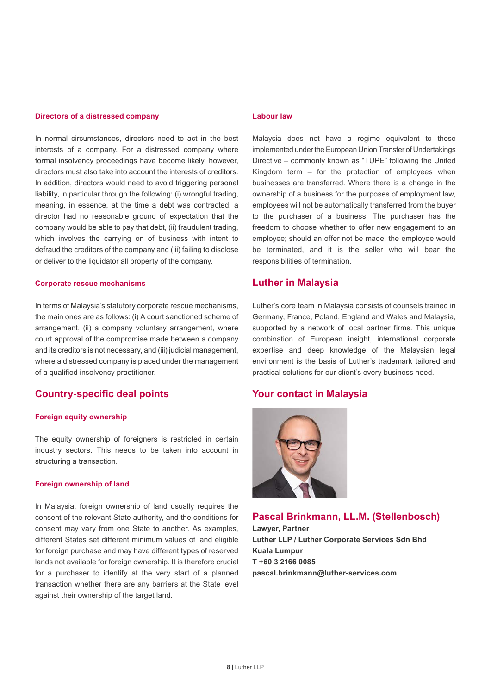#### **Directors of a distressed company**

In normal circumstances, directors need to act in the best interests of a company. For a distressed company where formal insolvency proceedings have become likely, however, directors must also take into account the interests of creditors. In addition, directors would need to avoid triggering personal liability, in particular through the following: (i) wrongful trading, meaning, in essence, at the time a debt was contracted, a director had no reasonable ground of expectation that the company would be able to pay that debt, (ii) fraudulent trading, which involves the carrying on of business with intent to defraud the creditors of the company and (iii) failing to disclose or deliver to the liquidator all property of the company.

#### **Corporate rescue mechanisms**

In terms of Malaysia's statutory corporate rescue mechanisms, the main ones are as follows: (i) A court sanctioned scheme of arrangement, (ii) a company voluntary arrangement, where court approval of the compromise made between a company and its creditors is not necessary, and (iii) judicial management, where a distressed company is placed under the management of a qualified insolvency practitioner.

#### **Country-specific deal points**

#### **Foreign equity ownership**

The equity ownership of foreigners is restricted in certain industry sectors. This needs to be taken into account in structuring a transaction.

#### **Foreign ownership of land**

In Malaysia, foreign ownership of land usually requires the consent of the relevant State authority, and the conditions for consent may vary from one State to another. As examples, different States set different minimum values of land eligible for foreign purchase and may have different types of reserved lands not available for foreign ownership. It is therefore crucial for a purchaser to identify at the very start of a planned transaction whether there are any barriers at the State level against their ownership of the target land.

#### **Labour law**

Malaysia does not have a regime equivalent to those implemented under the European Union Transfer of Undertakings Directive – commonly known as "TUPE" following the United Kingdom term – for the protection of employees when businesses are transferred. Where there is a change in the ownership of a business for the purposes of employment law, employees will not be automatically transferred from the buyer to the purchaser of a business. The purchaser has the freedom to choose whether to offer new engagement to an employee; should an offer not be made, the employee would be terminated, and it is the seller who will bear the responsibilities of termination.

#### **Luther in Malaysia**

Luther's core team in Malaysia consists of counsels trained in Germany, France, Poland, England and Wales and Malaysia, supported by a network of local partner firms. This unique combination of European insight, international corporate expertise and deep knowledge of the Malaysian legal environment is the basis of Luther's trademark tailored and practical solutions for our client's every business need.

#### **Your contact in Malaysia**



#### **Pascal Brinkmann, LL.M. (Stellenbosch)**

**Lawyer, Partner Luther LLP / Luther Corporate Services Sdn Bhd Kuala Lumpur T +60 3 2166 0085 [pascal.brinkmann@luther-services.com](mailto:pascal.brinkmann@luther-services.com)**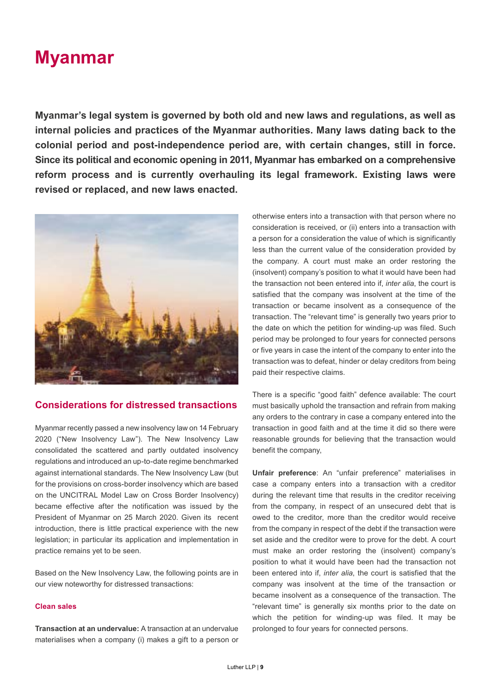## **Myanmar**

**Myanmar's legal system is governed by both old and new laws and regulations, as well as internal policies and practices of the Myanmar authorities. Many laws dating back to the colonial period and post-independence period are, with certain changes, still in force. Since its political and economic opening in 2011, Myanmar has embarked on a comprehensive reform process and is currently overhauling its legal framework. Existing laws were revised or replaced, and new laws enacted.** 



#### **Considerations for distressed transactions**

Myanmar recently passed a new insolvency law on 14 February 2020 ("New Insolvency Law"). The New Insolvency Law consolidated the scattered and partly outdated insolvency regulations and introduced an up-to-date regime benchmarked against international standards. The New Insolvency Law (but for the provisions on cross-border insolvency which are based on the UNCITRAL Model Law on Cross Border Insolvency) became effective after the notification was issued by the President of Myanmar on 25 March 2020. Given its recent introduction, there is little practical experience with the new legislation; in particular its application and implementation in practice remains yet to be seen.

Based on the New Insolvency Law, the following points are in our view noteworthy for distressed transactions:

#### **Clean sales**

**Transaction at an undervalue:** A transaction at an undervalue materialises when a company (i) makes a gift to a person or

otherwise enters into a transaction with that person where no consideration is received, or (ii) enters into a transaction with a person for a consideration the value of which is significantly less than the current value of the consideration provided by the company. A court must make an order restoring the (insolvent) company's position to what it would have been had the transaction not been entered into if, *inter alia*, the court is satisfied that the company was insolvent at the time of the transaction or became insolvent as a consequence of the transaction. The "relevant time" is generally two years prior to the date on which the petition for winding-up was filed. Such period may be prolonged to four years for connected persons or five years in case the intent of the company to enter into the transaction was to defeat, hinder or delay creditors from being paid their respective claims.

There is a specific "good faith" defence available: The court must basically uphold the transaction and refrain from making any orders to the contrary in case a company entered into the transaction in good faith and at the time it did so there were reasonable grounds for believing that the transaction would benefit the company,

**Unfair preference**: An "unfair preference" materialises in case a company enters into a transaction with a creditor during the relevant time that results in the creditor receiving from the company, in respect of an unsecured debt that is owed to the creditor, more than the creditor would receive from the company in respect of the debt if the transaction were set aside and the creditor were to prove for the debt. A court must make an order restoring the (insolvent) company's position to what it would have been had the transaction not been entered into if, *inter alia*, the court is satisfied that the company was insolvent at the time of the transaction or became insolvent as a consequence of the transaction. The "relevant time" is generally six months prior to the date on which the petition for winding-up was filed. It may be prolonged to four years for connected persons.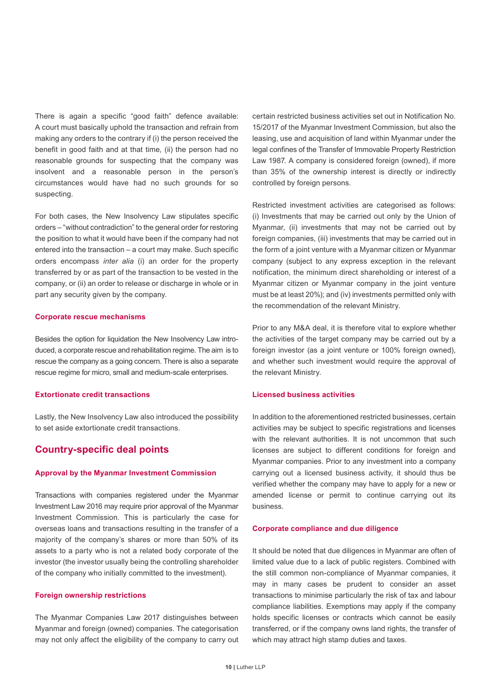There is again a specific "good faith" defence available: A court must basically uphold the transaction and refrain from making any orders to the contrary if (i) the person received the benefit in good faith and at that time, (ii) the person had no reasonable grounds for suspecting that the company was insolvent and a reasonable person in the person's circumstances would have had no such grounds for so suspecting.

For both cases, the New Insolvency Law stipulates specific orders – "without contradiction" to the general order for restoring the position to what it would have been if the company had not entered into the transaction – a court may make. Such specific orders encompass *inter alia* (i) an order for the property transferred by or as part of the transaction to be vested in the company, or (ii) an order to release or discharge in whole or in part any security given by the company.

#### **Corporate rescue mechanisms**

Besides the option for liquidation the New Insolvency Law introduced, a corporate rescue and rehabilitation regime. The aim is to rescue the company as a going concern. There is also a separate rescue regime for micro, small and medium-scale enterprises.

#### **Extortionate credit transactions**

Lastly, the New Insolvency Law also introduced the possibility to set aside extortionate credit transactions.

#### **Country-specific deal points**

#### **Approval by the Myanmar Investment Commission**

Transactions with companies registered under the Myanmar Investment Law 2016 may require prior approval of the Myanmar Investment Commission. This is particularly the case for overseas loans and transactions resulting in the transfer of a majority of the company's shares or more than 50% of its assets to a party who is not a related body corporate of the investor (the investor usually being the controlling shareholder of the company who initially committed to the investment).

#### **Foreign ownership restrictions**

The Myanmar Companies Law 2017 distinguishes between Myanmar and foreign (owned) companies. The categorisation may not only affect the eligibility of the company to carry out certain restricted business activities set out in Notification No. 15/2017 of the Myanmar Investment Commission, but also the leasing, use and acquisition of land within Myanmar under the legal confines of the Transfer of Immovable Property Restriction Law 1987. A company is considered foreign (owned), if more than 35% of the ownership interest is directly or indirectly controlled by foreign persons.

Restricted investment activities are categorised as follows: (i) Investments that may be carried out only by the Union of Myanmar, (ii) investments that may not be carried out by foreign companies, (iii) investments that may be carried out in the form of a joint venture with a Myanmar citizen or Myanmar company (subject to any express exception in the relevant notification, the minimum direct shareholding or interest of a Myanmar citizen or Myanmar company in the joint venture must be at least 20%); and (iv) investments permitted only with the recommendation of the relevant Ministry.

Prior to any M&A deal, it is therefore vital to explore whether the activities of the target company may be carried out by a foreign investor (as a joint venture or 100% foreign owned), and whether such investment would require the approval of the relevant Ministry.

#### **Licensed business activities**

In addition to the aforementioned restricted businesses, certain activities may be subject to specific registrations and licenses with the relevant authorities. It is not uncommon that such licenses are subject to different conditions for foreign and Myanmar companies. Prior to any investment into a company carrying out a licensed business activity, it should thus be verified whether the company may have to apply for a new or amended license or permit to continue carrying out its business.

#### **Corporate compliance and due diligence**

It should be noted that due diligences in Myanmar are often of limited value due to a lack of public registers. Combined with the still common non-compliance of Myanmar companies, it may in many cases be prudent to consider an asset transactions to minimise particularly the risk of tax and labour compliance liabilities. Exemptions may apply if the company holds specific licenses or contracts which cannot be easily transferred, or if the company owns land rights, the transfer of which may attract high stamp duties and taxes.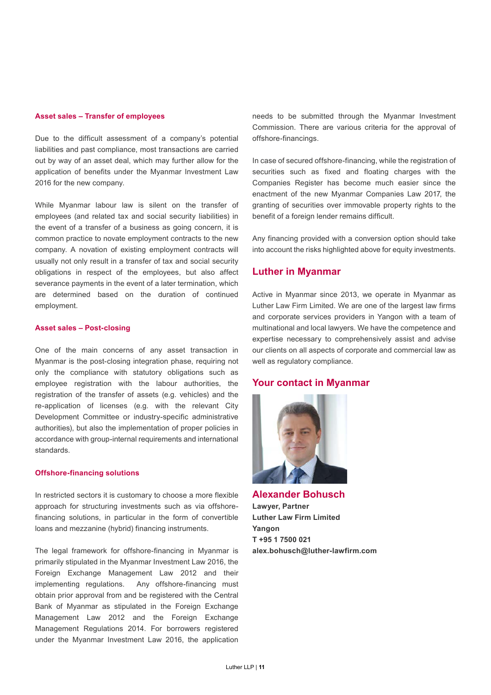#### **Asset sales – Transfer of employees**

Due to the difficult assessment of a company's potential liabilities and past compliance, most transactions are carried out by way of an asset deal, which may further allow for the application of benefits under the Myanmar Investment Law 2016 for the new company.

While Myanmar labour law is silent on the transfer of employees (and related tax and social security liabilities) in the event of a transfer of a business as going concern, it is common practice to novate employment contracts to the new company. A novation of existing employment contracts will usually not only result in a transfer of tax and social security obligations in respect of the employees, but also affect severance payments in the event of a later termination, which are determined based on the duration of continued employment.

#### **Asset sales – Post-closing**

One of the main concerns of any asset transaction in Myanmar is the post-closing integration phase, requiring not only the compliance with statutory obligations such as employee registration with the labour authorities, the registration of the transfer of assets (e.g. vehicles) and the re-application of licenses (e.g. with the relevant City Development Committee or industry-specific administrative authorities), but also the implementation of proper policies in accordance with group-internal requirements and international standards.

#### **Offshore-financing solutions**

In restricted sectors it is customary to choose a more flexible approach for structuring investments such as via offshorefinancing solutions, in particular in the form of convertible loans and mezzanine (hybrid) financing instruments.

The legal framework for offshore-financing in Myanmar is primarily stipulated in the Myanmar Investment Law 2016, the Foreign Exchange Management Law 2012 and their implementing regulations. Any offshore-financing must obtain prior approval from and be registered with the Central Bank of Myanmar as stipulated in the Foreign Exchange Management Law 2012 and the Foreign Exchange Management Regulations 2014. For borrowers registered under the Myanmar Investment Law 2016, the application

needs to be submitted through the Myanmar Investment Commission. There are various criteria for the approval of offshore-financings.

In case of secured offshore-financing, while the registration of securities such as fixed and floating charges with the Companies Register has become much easier since the enactment of the new Myanmar Companies Law 2017, the granting of securities over immovable property rights to the benefit of a foreign lender remains difficult.

Any financing provided with a conversion option should take into account the risks highlighted above for equity investments.

#### **Luther in Myanmar**

Active in Myanmar since 2013, we operate in Myanmar as Luther Law Firm Limited. We are one of the largest law firms and corporate services providers in Yangon with a team of multinational and local lawyers. We have the competence and expertise necessary to comprehensively assist and advise our clients on all aspects of corporate and commercial law as well as regulatory compliance.

#### **Your contact in Myanmar**



**Alexander Bohusch Lawyer, Partner Luther Law Firm Limited Yangon T +95 1 7500 021 alex.bohusch@luther-lawfirm.com**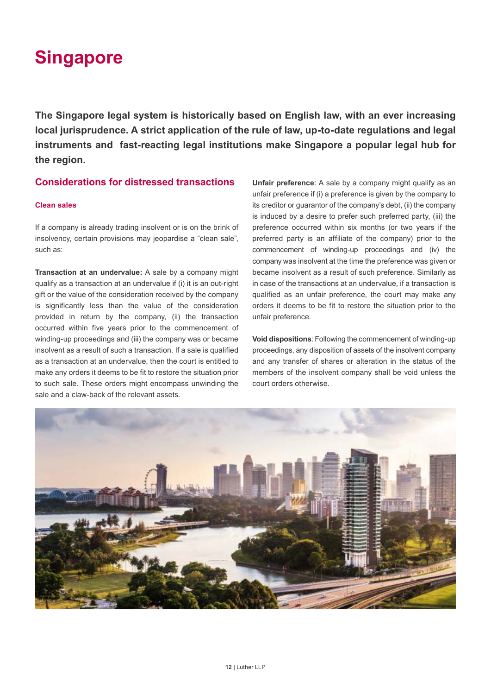## **Singapore**

**The Singapore legal system is historically based on English law, with an ever increasing local jurisprudence. A strict application of the rule of law, up-to-date regulations and legal instruments and fast-reacting legal institutions make Singapore a popular legal hub for the region.**

#### **Considerations for distressed transactions**

#### **Clean sales**

If a company is already trading insolvent or is on the brink of insolvency, certain provisions may jeopardise a "clean sale", such as:

**Transaction at an undervalue:** A sale by a company might qualify as a transaction at an undervalue if (i) it is an out-right gift or the value of the consideration received by the company is significantly less than the value of the consideration provided in return by the company, (ii) the transaction occurred within five years prior to the commencement of winding-up proceedings and (iii) the company was or became insolvent as a result of such a transaction. If a sale is qualified as a transaction at an undervalue, then the court is entitled to make any orders it deems to be fit to restore the situation prior to such sale. These orders might encompass unwinding the sale and a claw-back of the relevant assets.

**Unfair preference**: A sale by a company might qualify as an unfair preference if (i) a preference is given by the company to its creditor or guarantor of the company's debt, (ii) the company is induced by a desire to prefer such preferred party, (iii) the preference occurred within six months (or two years if the preferred party is an affiliate of the company) prior to the commencement of winding-up proceedings and (iv) the company was insolvent at the time the preference was given or became insolvent as a result of such preference. Similarly as in case of the transactions at an undervalue, if a transaction is qualified as an unfair preference, the court may make any orders it deems to be fit to restore the situation prior to the unfair preference.

**Void dispositions**: Following the commencement of winding-up proceedings, any disposition of assets of the insolvent company and any transfer of shares or alteration in the status of the members of the insolvent company shall be void unless the court orders otherwise.

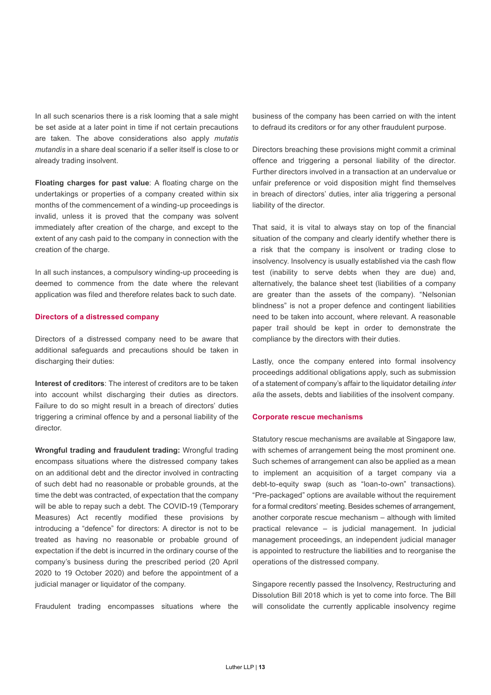In all such scenarios there is a risk looming that a sale might be set aside at a later point in time if not certain precautions are taken. The above considerations also apply *mutatis mutandis* in a share deal scenario if a seller itself is close to or already trading insolvent.

**Floating charges for past value**: A floating charge on the undertakings or properties of a company created within six months of the commencement of a winding-up proceedings is invalid, unless it is proved that the company was solvent immediately after creation of the charge, and except to the extent of any cash paid to the company in connection with the creation of the charge.

In all such instances, a compulsory winding-up proceeding is deemed to commence from the date where the relevant application was filed and therefore relates back to such date.

#### **Directors of a distressed company**

Directors of a distressed company need to be aware that additional safeguards and precautions should be taken in discharging their duties:

**Interest of creditors**: The interest of creditors are to be taken into account whilst discharging their duties as directors. Failure to do so might result in a breach of directors' duties triggering a criminal offence by and a personal liability of the director.

**Wrongful trading and fraudulent trading:** Wrongful trading encompass situations where the distressed company takes on an additional debt and the director involved in contracting of such debt had no reasonable or probable grounds, at the time the debt was contracted, of expectation that the company will be able to repay such a debt. The COVID-19 (Temporary Measures) Act recently modified these provisions by introducing a "defence" for directors: A director is not to be treated as having no reasonable or probable ground of expectation if the debt is incurred in the ordinary course of the company's business during the prescribed period (20 April 2020 to 19 October 2020) and before the appointment of a judicial manager or liquidator of the company.

Fraudulent trading encompasses situations where the

business of the company has been carried on with the intent to defraud its creditors or for any other fraudulent purpose.

Directors breaching these provisions might commit a criminal offence and triggering a personal liability of the director. Further directors involved in a transaction at an undervalue or unfair preference or void disposition might find themselves in breach of directors' duties, inter alia triggering a personal liability of the director.

That said, it is vital to always stay on top of the financial situation of the company and clearly identify whether there is a risk that the company is insolvent or trading close to insolvency. Insolvency is usually established via the cash flow test (inability to serve debts when they are due) and, alternatively, the balance sheet test (liabilities of a company are greater than the assets of the company). "Nelsonian blindness" is not a proper defence and contingent liabilities need to be taken into account, where relevant. A reasonable paper trail should be kept in order to demonstrate the compliance by the directors with their duties.

Lastly, once the company entered into formal insolvency proceedings additional obligations apply, such as submission of a statement of company's affair to the liquidator detailing *inter alia* the assets, debts and liabilities of the insolvent company.

#### **Corporate rescue mechanisms**

Statutory rescue mechanisms are available at Singapore law, with schemes of arrangement being the most prominent one. Such schemes of arrangement can also be applied as a mean to implement an acquisition of a target company via a debt-to-equity swap (such as "loan-to-own" transactions). "Pre-packaged" options are available without the requirement for a formal creditors' meeting. Besides schemes of arrangement, another corporate rescue mechanism – although with limited practical relevance – is judicial management. In judicial management proceedings, an independent judicial manager is appointed to restructure the liabilities and to reorganise the operations of the distressed company.

Singapore recently passed the Insolvency, Restructuring and Dissolution Bill 2018 which is yet to come into force. The Bill will consolidate the currently applicable insolvency regime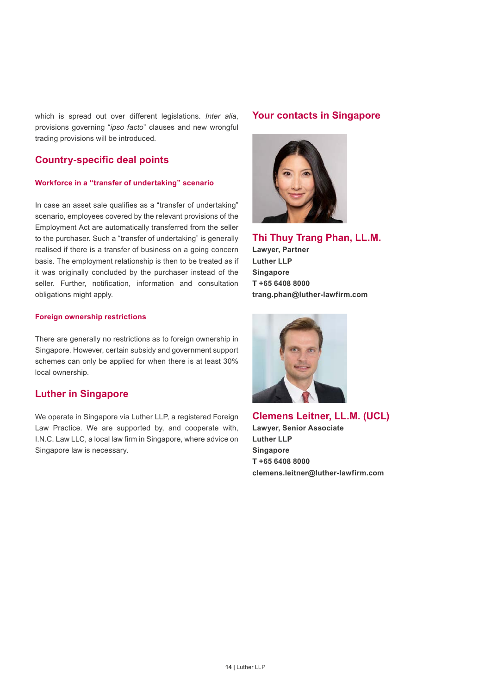which is spread out over different legislations. *Inter alia*, provisions governing "*ipso facto*" clauses and new wrongful trading provisions will be introduced.

#### **Country-specific deal points**

#### **Workforce in a "transfer of undertaking" scenario**

In case an asset sale qualifies as a "transfer of undertaking" scenario, employees covered by the relevant provisions of the Employment Act are automatically transferred from the seller to the purchaser. Such a "transfer of undertaking" is generally realised if there is a transfer of business on a going concern basis. The employment relationship is then to be treated as if it was originally concluded by the purchaser instead of the seller. Further, notification, information and consultation obligations might apply.

#### **Foreign ownership restrictions**

There are generally no restrictions as to foreign ownership in Singapore. However, certain subsidy and government support schemes can only be applied for when there is at least 30% local ownership.

#### **Luther in Singapore**

We operate in Singapore via Luther LLP, a registered Foreign Law Practice. We are supported by, and cooperate with, I.N.C. Law LLC, a local law firm in Singapore, where advice on Singapore law is necessary.

#### **Your contacts in Singapore**



**Thi Thuy Trang Phan, LL.M.**

**Lawyer, Partner Luther LLP Singapore T +65 6408 8000 trang.phan@luther-lawfirm.com**



**Clemens Leitner, LL.M. (UCL) Lawyer, Senior Associate Luther LLP Singapore T +65 6408 8000 clemens.leitner@luther-lawfirm.com**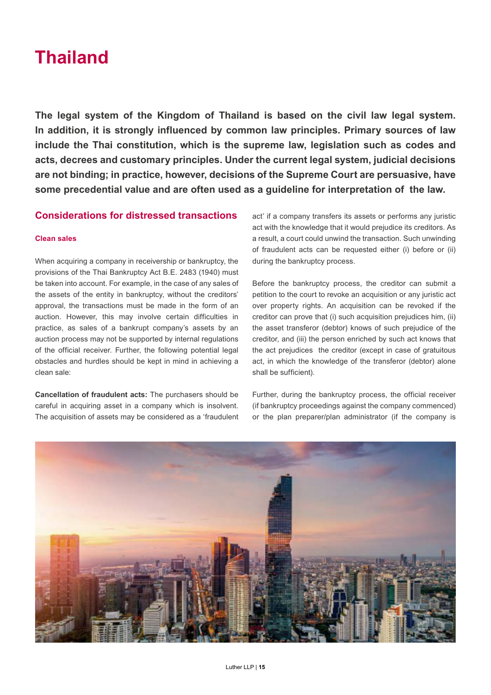## **Thailand**

**The legal system of the Kingdom of Thailand is based on the civil law legal system. In addition, it is strongly influenced by common law principles. Primary sources of law include the Thai constitution, which is the supreme law, legislation such as codes and acts, decrees and customary principles. Under the current legal system, judicial decisions are not binding; in practice, however, decisions of the Supreme Court are persuasive, have some precedential value and are often used as a guideline for interpretation of the law.**

#### **Considerations for distressed transactions**

#### **Clean sales**

When acquiring a company in receivership or bankruptcy, the provisions of the Thai Bankruptcy Act B.E. 2483 (1940) must be taken into account. For example, in the case of any sales of the assets of the entity in bankruptcy, without the creditors' approval, the transactions must be made in the form of an auction. However, this may involve certain difficulties in practice, as sales of a bankrupt company's assets by an auction process may not be supported by internal regulations of the official receiver. Further, the following potential legal obstacles and hurdles should be kept in mind in achieving a clean sale:

**Cancellation of fraudulent acts:** The purchasers should be careful in acquiring asset in a company which is insolvent. The acquisition of assets may be considered as a 'fraudulent act' if a company transfers its assets or performs any juristic act with the knowledge that it would prejudice its creditors. As a result, a court could unwind the transaction. Such unwinding of fraudulent acts can be requested either (i) before or (ii) during the bankruptcy process.

Before the bankruptcy process, the creditor can submit a petition to the court to revoke an acquisition or any juristic act over property rights. An acquisition can be revoked if the creditor can prove that (i) such acquisition prejudices him, (ii) the asset transferor (debtor) knows of such prejudice of the creditor, and (iii) the person enriched by such act knows that the act prejudices the creditor (except in case of gratuitous act, in which the knowledge of the transferor (debtor) alone shall be sufficient).

Further, during the bankruptcy process, the official receiver (if bankruptcy proceedings against the company commenced) or the plan preparer/plan administrator (if the company is

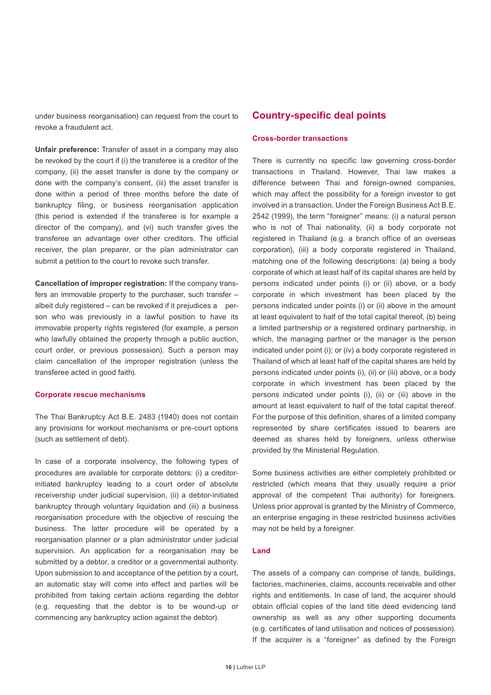under business reorganisation) can request from the court to revoke a fraudulent act.

**Unfair preference:** Transfer of asset in a company may also be revoked by the court if (i) the transferee is a creditor of the company, (ii) the asset transfer is done by the company or done with the company's consent, (iii) the asset transfer is done within a period of three months before the date of bankruptcy filing, or business reorganisation application (this period is extended if the transferee is for example a director of the company), and (vi) such transfer gives the transferee an advantage over other creditors. The official receiver, the plan preparer, or the plan administrator can submit a petition to the court to revoke such transfer.

**Cancellation of improper registration:** If the company transfers an immovable property to the purchaser, such transfer – albeit duly registered – can be revoked if it prejudices a person who was previously in a lawful position to have its immovable property rights registered (for example, a person who lawfully obtained the property through a public auction, court order, or previous possession). Such a person may claim cancellation of the improper registration (unless the transferee acted in good faith).

#### **Corporate rescue mechanisms**

The Thai Bankruptcy Act B.E. 2483 (1940) does not contain any provisions for workout mechanisms or pre-court options (such as settlement of debt).

In case of a corporate insolvency, the following types of procedures are available for corporate debtors: (i) a creditorinitiated bankruptcy leading to a court order of absolute receivership under judicial supervision, (ii) a debtor-initiated bankruptcy through voluntary liquidation and (iii) a business reorganisation procedure with the objective of rescuing the business. The latter procedure will be operated by a reorganisation planner or a plan administrator under judicial supervision. An application for a reorganisation may be submitted by a debtor, a creditor or a governmental authority. Upon submission to and acceptance of the petition by a court, an automatic stay will come into effect and parties will be prohibited from taking certain actions regarding the debtor (e.g. requesting that the debtor is to be wound-up or commencing any bankruptcy action against the debtor).

#### **Country-specific deal points**

#### **Cross-border transactions**

There is currently no specific law governing cross-border transactions in Thailand. However, Thai law makes a difference between Thai and foreign-owned companies, which may affect the possibility for a foreign investor to get involved in a transaction. Under the Foreign Business Act B.E. 2542 (1999), the term "foreigner" means: (i) a natural person who is not of Thai nationality, (ii) a body corporate not registered in Thailand (e.g. a branch office of an overseas corporation), (iii) a body corporate registered in Thailand, matching one of the following descriptions: (a) being a body corporate of which at least half of its capital shares are held by persons indicated under points (i) or (ii) above, or a body corporate in which investment has been placed by the persons indicated under points (i) or (ii) above in the amount at least equivalent to half of the total capital thereof, (b) being a limited partnership or a registered ordinary partnership, in which, the managing partner or the manager is the person indicated under point (i); or (iv) a body corporate registered in Thailand of which at least half of the capital shares are held by persons indicated under points (i), (ii) or (iii) above, or a body corporate in which investment has been placed by the persons indicated under points (i), (ii) or (iii) above in the amount at least equivalent to half of the total capital thereof. For the purpose of this definition, shares of a limited company represented by share certificates issued to bearers are deemed as shares held by foreigners, unless otherwise provided by the Ministerial Regulation.

Some business activities are either completely prohibited or restricted (which means that they usually require a prior approval of the competent Thai authority) for foreigners. Unless prior approval is granted by the Ministry of Commerce, an enterprise engaging in these restricted business activities may not be held by a foreigner.

#### **Land**

The assets of a company can comprise of lands, buildings, factories, machineries, claims, accounts receivable and other rights and entitlements. In case of land, the acquirer should obtain official copies of the land title deed evidencing land ownership as well as any other supporting documents (e.g. certificates of land utilisation and notices of possession). If the acquirer is a "foreigner" as defined by the Foreign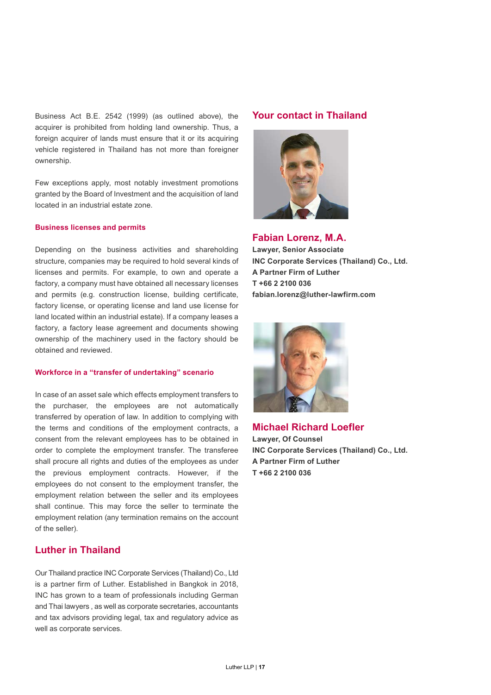Business Act B.E. 2542 (1999) (as outlined above), the acquirer is prohibited from holding land ownership. Thus, a foreign acquirer of lands must ensure that it or its acquiring vehicle registered in Thailand has not more than foreigner ownership.

Few exceptions apply, most notably investment promotions granted by the Board of Investment and the acquisition of land located in an industrial estate zone.

#### **Business licenses and permits**

Depending on the business activities and shareholding structure, companies may be required to hold several kinds of licenses and permits. For example, to own and operate a factory, a company must have obtained all necessary licenses and permits (e.g. construction license, building certificate, factory license, or operating license and land use license for land located within an industrial estate). If a company leases a factory, a factory lease agreement and documents showing ownership of the machinery used in the factory should be obtained and reviewed.

#### **Workforce in a "transfer of undertaking" scenario**

In case of an asset sale which effects employment transfers to the purchaser, the employees are not automatically transferred by operation of law. In addition to complying with the terms and conditions of the employment contracts, a consent from the relevant employees has to be obtained in order to complete the employment transfer. The transferee shall procure all rights and duties of the employees as under the previous employment contracts. However, if the employees do not consent to the employment transfer, the employment relation between the seller and its employees shall continue. This may force the seller to terminate the employment relation (any termination remains on the account of the seller).

#### **Luther in Thailand**

Our Thailand practice INC Corporate Services (Thailand) Co., Ltd is a partner firm of Luther. Established in Bangkok in 2018, INC has grown to a team of professionals including German and Thai lawyers , as well as corporate secretaries, accountants and tax advisors providing legal, tax and regulatory advice as well as corporate services.

#### **Your contact in Thailand**



**Fabian Lorenz, M.A.**

**Lawyer, Senior Associate INC Corporate Services (Thailand) Co., Ltd. A Partner Firm of Luther T +66 2 2100 036 fabian.lorenz@luther-lawfirm.com**



**Michael Richard Loefler**

**Lawyer, Of Counsel INC Corporate Services (Thailand) Co., Ltd. A Partner Firm of Luther T +66 2 2100 036**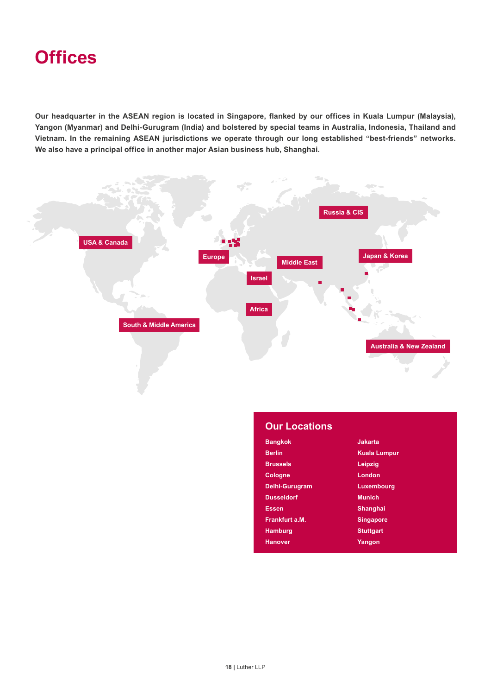**Our headquarter in the ASEAN region is located in Singapore, flanked by our offices in Kuala Lumpur (Malaysia), Yangon (Myanmar) and Delhi-Gurugram (India) and bolstered by special teams in Australia, Indonesia, Thailand and Vietnam. In the remaining ASEAN jurisdictions we operate through our long established "best-friends" networks. We also have a principal office in another major Asian business hub, Shanghai.** 



| <b>Our Locations</b> |                     |
|----------------------|---------------------|
| <b>Bangkok</b>       | Jakarta             |
| <b>Berlin</b>        | <b>Kuala Lumpur</b> |
| <b>Brussels</b>      | Leipzig             |
| <b>Cologne</b>       | London              |
| Delhi-Gurugram       | <b>Luxembourg</b>   |
| <b>Dusseldorf</b>    | <b>Munich</b>       |
| <b>Essen</b>         | <b>Shanghai</b>     |
| Frankfurt a.M.       | <b>Singapore</b>    |
| <b>Hamburg</b>       | <b>Stuttgart</b>    |
| <b>Hanover</b>       | Yangon              |